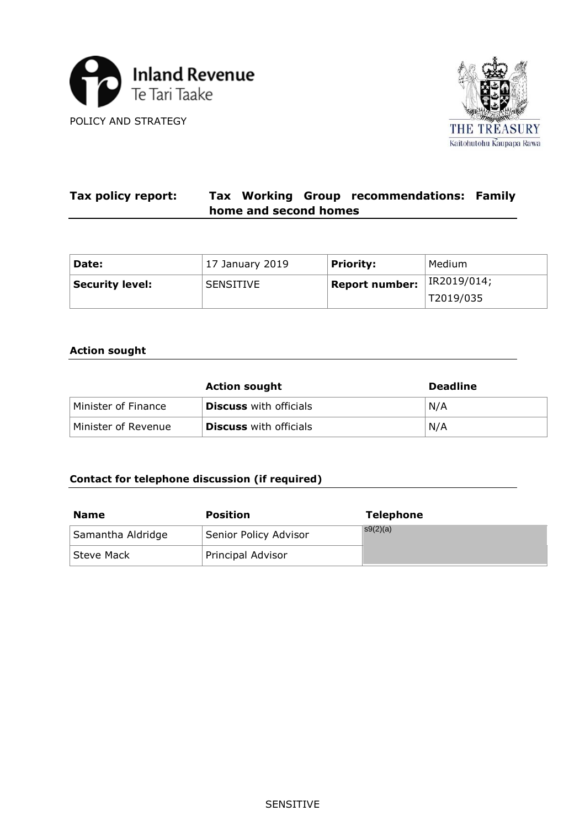



#### **Tax policy report: Tax Working Group recommendations: Family home and second homes**

| Date:                  | 17 January 2019  | <b>Priority:</b> | Medium      |
|------------------------|------------------|------------------|-------------|
| <b>Security level:</b> | <b>SENSITIVE</b> | Report number:   | IR2019/014; |
|                        |                  |                  | T2019/035   |

# **Action sought**

|                     | <b>Action sought</b>          | <b>Deadline</b> |
|---------------------|-------------------------------|-----------------|
| Minister of Finance | <b>Discuss</b> with officials | N/A             |
| Minister of Revenue | <b>Discuss</b> with officials | N/A             |

# **Contact for telephone discussion (if required)**

| <b>Name</b>       | <b>Position</b>       | <b>Telephone</b> |
|-------------------|-----------------------|------------------|
| Samantha Aldridge | Senior Policy Advisor | $\sqrt{S(2)}(a)$ |
| Steve Mack        | Principal Advisor     |                  |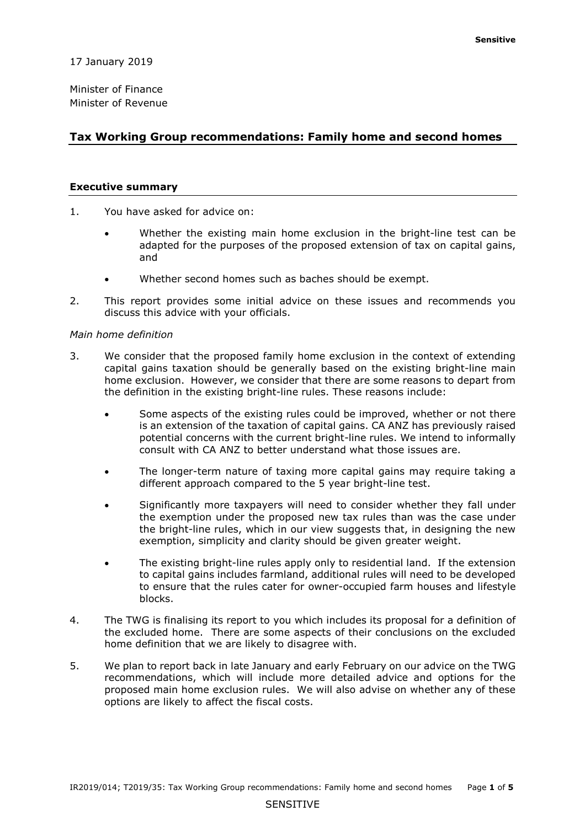17 January 2019

Minister of Finance Minister of Revenue

## **Tax Working Group recommendations: Family home and second homes**

#### **Executive summary**

- 1. You have asked for advice on:
	- Whether the existing main home exclusion in the bright-line test can be adapted for the purposes of the proposed extension of tax on capital gains, and
	- Whether second homes such as baches should be exempt.
- 2. This report provides some initial advice on these issues and recommends you discuss this advice with your officials.

#### *Main home definition*

- capital gains taxation should be generally based on the existing bright-line main home exclusion. However, we consider that there are some reasons to depart from 3. We consider that the proposed family home exclusion in the context of extending the definition in the existing bright-line rules. These reasons include:
	- is an extension of the taxation of capital gains. CA ANZ has previously raised potential concerns with the current bright-line rules. We intend to informally consult with CA ANZ to better understand what those issues are. • Some aspects of the existing rules could be improved, whether or not there
	- The longer-term nature of taxing more capital gains may require taking a different approach compared to the 5 year bright-line test.
	- the bright-line rules, which in our view suggests that, in designing the new exemption, simplicity and clarity should be given greater weight. • Significantly more taxpayers will need to consider whether they fall under the exemption under the proposed new tax rules than was the case under
	- • The existing bright-line rules apply only to residential land. If the extension to capital gains includes farmland, additional rules will need to be developed to ensure that the rules cater for owner-occupied farm houses and lifestyle blocks.
- 4. The TWG is finalising its report to you which includes its proposal for a definition of the excluded home. There are some aspects of their conclusions on the excluded home definition that we are likely to disagree with.
- proposed main home exclusion rules. We will also advise on whether any of these options are likely to affect the fiscal costs. 5. We plan to report back in late January and early February on our advice on the TWG recommendations, which will include more detailed advice and options for the options are likely to affect the fiscal costs.<br>IR2019/014; T2019/35: Tax Working Group recommendations: Family home and second homes Page **1** of **5**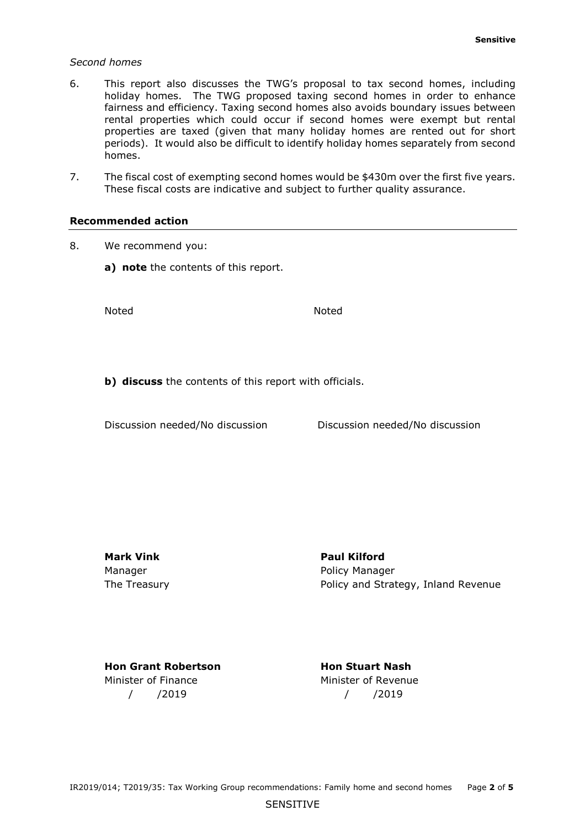#### *Second homes*

- periods). It would also be difficult to identify holiday homes separately from second 6. This report also discusses the TWG's proposal to tax second homes, including holiday homes. The TWG proposed taxing second homes in order to enhance fairness and efficiency. Taxing second homes also avoids boundary issues between rental properties which could occur if second homes were exempt but rental properties are taxed (given that many holiday homes are rented out for short homes.
- 7. The fiscal cost of exempting second homes would be \$430m over the first five years. These fiscal costs are indicative and subject to further quality assurance.

#### **Recommended action**

- 8. We recommend you:
	- **a) note** the contents of this report.

Noted Noted

**b) discuss** the contents of this report with officials.<br>Discussion needed/No discussion Discussion needed/No discussion

Discussion needed/No discussion

**Mark Vink Communist Communist Paul Kilford** 

Manager **Manager** Policy Manager The Treasury Policy and Strategy, Inland Revenue

**Hon Grant Robertson Hon Stuart Nash** Minister of Finance Minister of Revenue / /2019 / /2019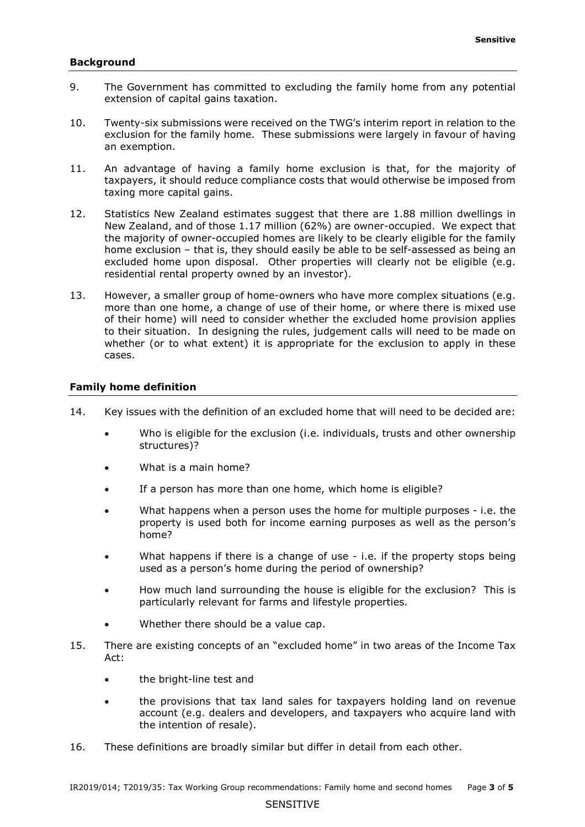#### **Background**

- 9. The Government has committed to excluding the family home from any potential extension of capital gains taxation.
- exclusion for the family home. These submissions were largely in favour of having an exemption. 10. Twenty-six submissions were received on the TWG's interim report in relation to the
- taxing more capital gains. 11. An advantage of having a family home exclusion is that, for the majority of taxpayers, it should reduce compliance costs that would otherwise be imposed from
- taxing more capital gains.<br>12. Statistics New Zealand estimates suggest that there are 1.88 million dwellings in New Zealand, and of those 1.17 million (62%) are owner-occupied. We expect that residential rental property owned by an investor). the majority of owner-occupied homes are likely to be clearly eligible for the family home exclusion – that is, they should easily be able to be self-assessed as being an excluded home upon disposal. Other properties will clearly not be eligible (e.g.
- cases. 13. However, a smaller group of home-owners who have more complex situations (e.g. more than one home, a change of use of their home, or where there is mixed use of their home) will need to consider whether the excluded home provision applies to their situation. In designing the rules, judgement calls will need to be made on whether (or to what extent) it is appropriate for the exclusion to apply in these

### **Family home definition**

- 14. Key issues with the definition of an excluded home that will need to be decided are:
	- Who is eligible for the exclusion (i.e. individuals, trusts and other ownership structures)?
	- What is a main home?
	- If a person has more than one home, which home is eligible?
	- What happens when a person uses the home for multiple purposes i.e. the property is used both for income earning purposes as well as the person's home?
	- used as a person's home during the period of ownership? • What happens if there is a change of use - i.e. if the property stops being
	- • How much land surrounding the house is eligible for the exclusion? This is particularly relevant for farms and lifestyle properties.
	- Whether there should be a value cap.
- 15. There are existing concepts of an "excluded home" in two areas of the Income Tax Act:
	- the bright-line test and
	- the intention of resale). • the provisions that tax land sales for taxpayers holding land on revenue account (e.g. dealers and developers, and taxpayers who acquire land with
- the intention of resale).<br>16. These definitions are broadly similar but differ in detail from each other.<br>IR2019/014; T2019/35: Tax Working Group recommendations: Family home and second homes Page **3** of **5** These definitions are broadly similar but differ in detail from each other.

#### SENSITIVE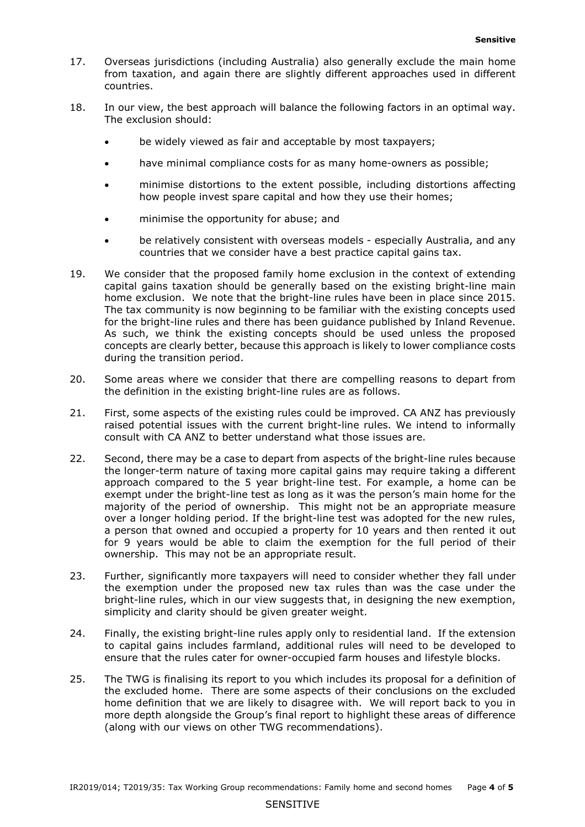- countries. 17. Overseas jurisdictions (including Australia) also generally exclude the main home from taxation, and again there are slightly different approaches used in different
- The exclusion should: 18. In our view, the best approach will balance the following factors in an optimal way.
	- be widely viewed as fair and acceptable by most taxpayers;
	- have minimal compliance costs for as many home-owners as possible;
	- how people invest spare capital and how they use their homes; • minimise distortions to the extent possible, including distortions affecting
	- minimise the opportunity for abuse; and
	- be relatively consistent with overseas models especially Australia, and any countries that we consider have a best practice capital gains tax.
- capital gains taxation should be generally based on the existing bright-line main home exclusion. We note that the bright-line rules have been in place since 2015. for the bright-line rules and there has been guidance published by Inland Revenue. for the bright-line rules and there has been guidance published by Inland Revenue.<br>As such, we think the existing concepts should be used unless the proposed during the transition period. 19. We consider that the proposed family home exclusion in the context of extending The tax community is now beginning to be familiar with the existing concepts used concepts are clearly better, because this approach is likely to lower compliance costs
- 20. Some areas where we consider that there are compelling reasons to depart from the definition in the existing bright-line rules are as follows.
- consult with CA ANZ to better understand what those issues are. 21. First, some aspects of the existing rules could be improved. CA ANZ has previously raised potential issues with the current bright-line rules. We intend to informally
- approach compared to the 5 year bright-line test. For example, a home can be over a longer holding period. If the bright-line test was adopted for the new rules, 22. Second, there may be a case to depart from aspects of the bright-line rules because the longer-term nature of taxing more capital gains may require taking a different exempt under the bright-line test as long as it was the person's main home for the majority of the period of ownership. This might not be an appropriate measure a person that owned and occupied a property for 10 years and then rented it out for 9 years would be able to claim the exemption for the full period of their ownership. This may not be an appropriate result.
- simplicity and clarity should be given greater weight. 23. Further, significantly more taxpayers will need to consider whether they fall under the exemption under the proposed new tax rules than was the case under the bright-line rules, which in our view suggests that, in designing the new exemption,
- simplicity and clarity should be given greater weight.<br>24. Finally, the existing bright-line rules apply only to residential land. If the extension to capital gains includes farmland, additional rules will need to be developed to ensure that the rules cater for owner-occupied farm houses and lifestyle blocks.
- home definition that we are likely to disagree with. We will report back to you in 25. The TWG is finalising its report to you which includes its proposal for a definition of the excluded home. There are some aspects of their conclusions on the excluded more depth alongside the Group's final report to highlight these areas of difference (along with our views on other TWG recommendations).